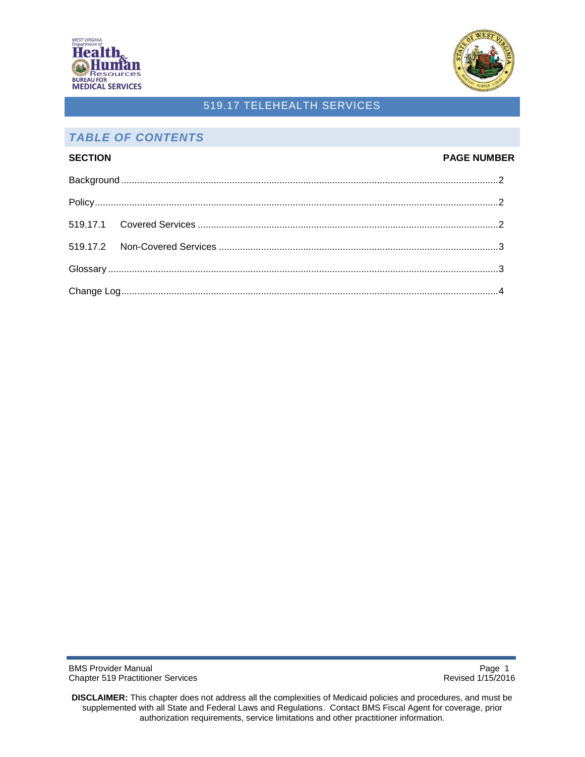



## *TABLE OF CONTENTS*

# **SECTION PAGE NUMBER** [Background](#page-1-0) ...............................................................................................................................................2 [Policy.](#page-1-1)........................................................................................................................................................2 519.17.1 [Covered Services](#page-1-2) ..................................................................................................................2 519.17.2 [Non-Covered Services](#page-2-0) ..........................................................................................................3 [Glossary](#page-2-1) ....................................................................................................................................................3 [Change Log.](#page-3-0)..............................................................................................................................................4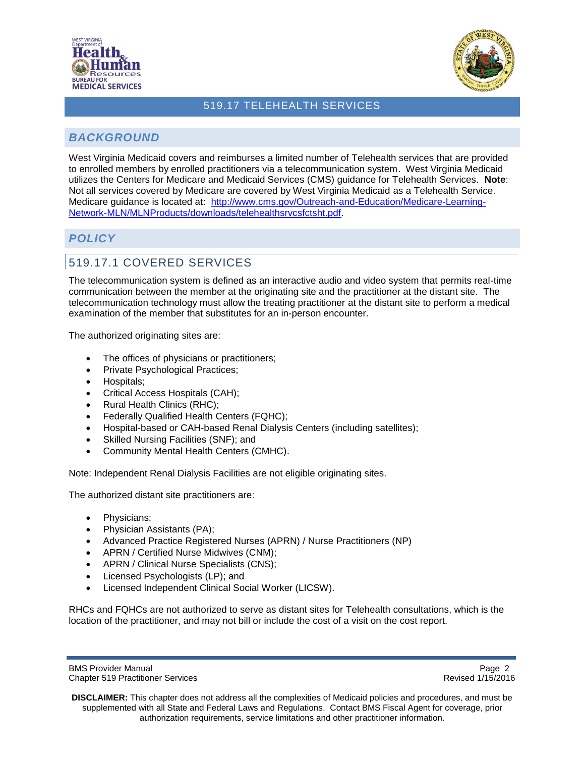



## <span id="page-1-0"></span>*BACKGROUND*

West Virginia Medicaid covers and reimburses a limited number of Telehealth services that are provided to enrolled members by enrolled practitioners via a telecommunication system. West Virginia Medicaid utilizes the Centers for Medicare and Medicaid Services (CMS) guidance for Telehealth Services. **Note**: Not all services covered by Medicare are covered by West Virginia Medicaid as a Telehealth Service. Medicare guidance is located at: [http://www.cms.gov/Outreach-and-Education/Medicare-Learning-](http://www.cms.gov/Outreach-and-Education/Medicare-Learning-Network-MLN/MLNProducts/downloads/telehealthsrvcsfctsht.pdf)[Network-MLN/MLNProducts/downloads/telehealthsrvcsfctsht.pdf.](http://www.cms.gov/Outreach-and-Education/Medicare-Learning-Network-MLN/MLNProducts/downloads/telehealthsrvcsfctsht.pdf)

## <span id="page-1-1"></span>*POLICY*

# <span id="page-1-2"></span>519.17.1 COVERED SERVICES

The telecommunication system is defined as an interactive audio and video system that permits real-time communication between the member at the originating site and the practitioner at the distant site. The telecommunication technology must allow the treating practitioner at the distant site to perform a medical examination of the member that substitutes for an in-person encounter.

The authorized originating sites are:

- The offices of physicians or practitioners;
- Private Psychological Practices;
- Hospitals;
- Critical Access Hospitals (CAH);
- Rural Health Clinics (RHC);
- Federally Qualified Health Centers (FQHC);
- Hospital-based or CAH-based Renal Dialysis Centers (including satellites);
- Skilled Nursing Facilities (SNF); and
- Community Mental Health Centers (CMHC).

Note: Independent Renal Dialysis Facilities are not eligible originating sites.

The authorized distant site practitioners are:

- Physicians;
- Physician Assistants (PA);
- Advanced Practice Registered Nurses (APRN) / Nurse Practitioners (NP)
- APRN / Certified Nurse Midwives (CNM);
- APRN / Clinical Nurse Specialists (CNS);
- Licensed Psychologists (LP); and
- Licensed Independent Clinical Social Worker (LICSW).

RHCs and FQHCs are not authorized to serve as distant sites for Telehealth consultations, which is the location of the practitioner, and may not bill or include the cost of a visit on the cost report.

BMS Provider Manual **Page 2 Page 2** Chapter 519 Practitioner Services Revised 1/15/2016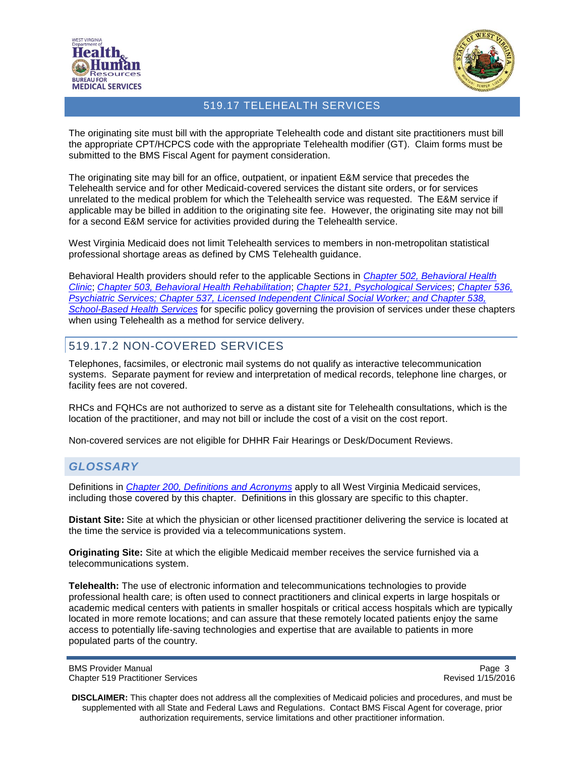



The originating site must bill with the appropriate Telehealth code and distant site practitioners must bill the appropriate CPT/HCPCS code with the appropriate Telehealth modifier (GT). Claim forms must be submitted to the BMS Fiscal Agent for payment consideration.

The originating site may bill for an office, outpatient, or inpatient E&M service that precedes the Telehealth service and for other Medicaid-covered services the distant site orders, or for services unrelated to the medical problem for which the Telehealth service was requested. The E&M service if applicable may be billed in addition to the originating site fee. However, the originating site may not bill for a second E&M service for activities provided during the Telehealth service.

West Virginia Medicaid does not limit Telehealth services to members in non-metropolitan statistical professional shortage areas as defined by CMS Telehealth guidance.

Behavioral Health providers should refer to the applicable Sections in *[Chapter 502, Behavioral Health](http://www.dhhr.wv.gov/bms/Pages/Manuals.aspx)  [Clinic](http://www.dhhr.wv.gov/bms/Pages/Manuals.aspx)*; *[Chapter 503, Behavioral Health Rehabilitation](http://www.dhhr.wv.gov/bms/Pages/Manuals.aspx)*; *[Chapter 521, Psychological Services](http://www.dhhr.wv.gov/bms/Pages/Manuals.aspx)*; *[Chapter 536,](http://www.dhhr.wv.gov/bms/Pages/Manuals.aspx)  [Psychiatric Services;](http://www.dhhr.wv.gov/bms/Pages/Manuals.aspx) Chapter 537, [Licensed Independent Clinical Social Worker;](http://www.dhhr.wv.gov/bms/Pages/Manuals.aspx) and [Chapter 538,](http://www.dhhr.wv.gov/bms/Pages/Manuals.aspx)  [School-Based Health Services](http://www.dhhr.wv.gov/bms/Pages/Manuals.aspx)* for specific policy governing the provision of services under these chapters when using Telehealth as a method for service delivery.

## <span id="page-2-0"></span>519.17.2 NON-COVERED SERVICES

Telephones, facsimiles, or electronic mail systems do not qualify as interactive telecommunication systems. Separate payment for review and interpretation of medical records, telephone line charges, or facility fees are not covered.

RHCs and FQHCs are not authorized to serve as a distant site for Telehealth consultations, which is the location of the practitioner, and may not bill or include the cost of a visit on the cost report.

Non-covered services are not eligible for DHHR Fair Hearings or Desk/Document Reviews.

#### <span id="page-2-1"></span>*GLOSSARY*

Definitions in *[Chapter 200, Definitions and](http://www.dhhr.wv.gov/bms/Pages/Manuals.aspx) Acronyms* apply to all West Virginia Medicaid services, including those covered by this chapter. Definitions in this glossary are specific to this chapter.

**Distant Site:** Site at which the physician or other licensed practitioner delivering the service is located at the time the service is provided via a telecommunications system.

**Originating Site:** Site at which the eligible Medicaid member receives the service furnished via a telecommunications system.

**Telehealth:** The use of electronic information and telecommunications technologies to provide professional health care; is often used to connect practitioners and clinical experts in large hospitals or academic medical centers with patients in smaller hospitals or critical access hospitals which are typically located in more remote locations; and can assure that these remotely located patients enjoy the same access to potentially life-saving technologies and expertise that are available to patients in more populated parts of the country.